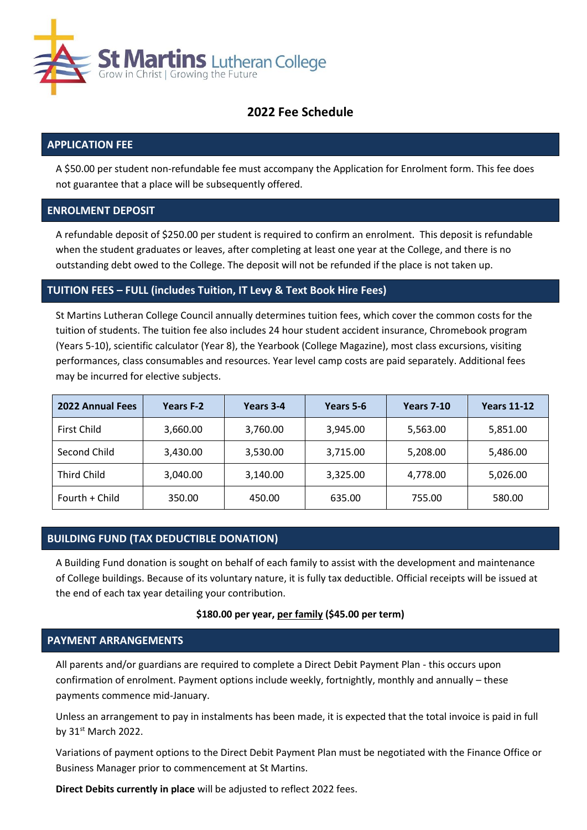

# **2022 Fee Schedule**

### **APPLICATION FEE**

A \$50.00 per student non-refundable fee must accompany the Application for Enrolment form. This fee does not guarantee that a place will be subsequently offered.

### **ENROLMENT DEPOSIT**

A refundable deposit of \$250.00 per student is required to confirm an enrolment. This deposit is refundable when the student graduates or leaves, after completing at least one year at the College, and there is no outstanding debt owed to the College. The deposit will not be refunded if the place is not taken up.

### **TUITION FEES – FULL (includes Tuition, IT Levy & Text Book Hire Fees)**

St Martins Lutheran College Council annually determines tuition fees, which cover the common costs for the tuition of students. The tuition fee also includes 24 hour student accident insurance, Chromebook program (Years 5-10), scientific calculator (Year 8), the Yearbook (College Magazine), most class excursions, visiting performances, class consumables and resources. Year level camp costs are paid separately. Additional fees may be incurred for elective subjects.

| <b>2022 Annual Fees</b> | Years F-2 | Years 3-4            | Years 5-6            | <b>Years 7-10</b> | <b>Years 11-12</b> |
|-------------------------|-----------|----------------------|----------------------|-------------------|--------------------|
| First Child             | 3,660.00  | 3,760.00             | 3,945.00             | 5,563.00          | 5,851.00           |
| Second Child            | 3,430.00  | 3,715.00<br>3,530.00 |                      | 5,208.00          | 5,486.00           |
| <b>Third Child</b>      | 3,040.00  | 3,140.00             | 3,325.00<br>4,778.00 |                   | 5,026.00           |
| Fourth + Child          | 350.00    | 450.00               | 635.00               | 755.00            | 580.00             |

# **BUILDING FUND (TAX DEDUCTIBLE DONATION)**

A Building Fund donation is sought on behalf of each family to assist with the development and maintenance of College buildings. Because of its voluntary nature, it is fully tax deductible. Official receipts will be issued at the end of each tax year detailing your contribution.

#### **\$180.00 per year, per family (\$45.00 per term)**

### **PAYMENT ARRANGEMENTS**

All parents and/or guardians are required to complete a Direct Debit Payment Plan - this occurs upon confirmation of enrolment. Payment options include weekly, fortnightly, monthly and annually – these payments commence mid-January.

Unless an arrangement to pay in instalments has been made, it is expected that the total invoice is paid in full by 31st March 2022.

Variations of payment options to the Direct Debit Payment Plan must be negotiated with the Finance Office or Business Manager prior to commencement at St Martins.

**Direct Debits currently in place** will be adjusted to reflect 2022 fees.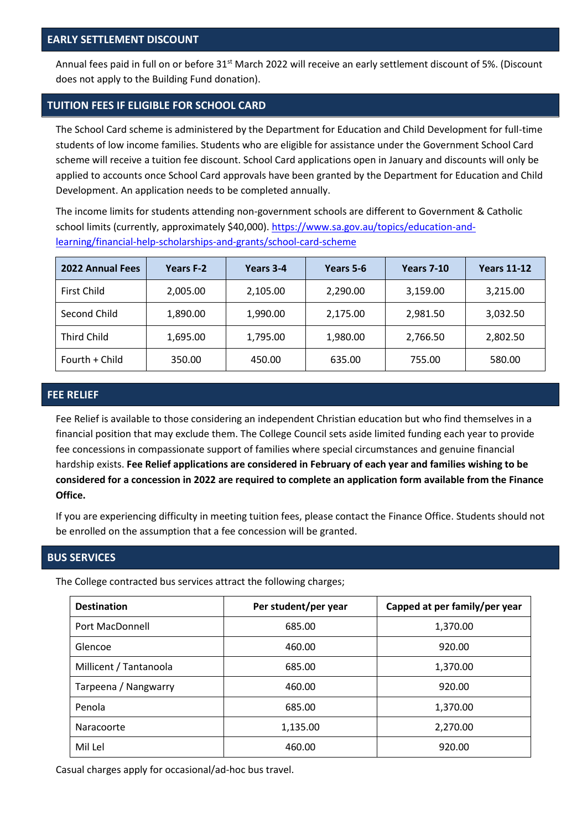Annual fees paid in full on or before 31<sup>st</sup> March 2022 will receive an early settlement discount of 5%. (Discount does not apply to the Building Fund donation).

## **TUITION FEES IF ELIGIBLE FOR SCHOOL CARD**

The School Card scheme is administered by the Department for Education and Child Development for full-time students of low income families. Students who are eligible for assistance under the Government School Card scheme will receive a tuition fee discount. School Card applications open in January and discounts will only be applied to accounts once School Card approvals have been granted by the Department for Education and Child Development. An application needs to be completed annually.

The income limits for students attending non-government schools are different to Government & Catholic school limits (currently, approximately \$40,000). [https://www.sa.gov.au/topics/education-and](https://www.sa.gov.au/topics/education-and-learning/financial-help-scholarships-and-grants/school-card-scheme)[learning/financial-help-scholarships-and-grants/school-card-scheme](https://www.sa.gov.au/topics/education-and-learning/financial-help-scholarships-and-grants/school-card-scheme)

| <b>2022 Annual Fees</b> | Years F-2 | Years 3-4            | Years 5-6 | <b>Years 7-10</b> | <b>Years 11-12</b> |  |
|-------------------------|-----------|----------------------|-----------|-------------------|--------------------|--|
| First Child             | 2,005.00  | 2,105.00             | 2,290.00  | 3,159.00          | 3,215.00           |  |
| Second Child            | 1,890.00  | 2,175.00<br>1,990.00 |           | 2,981.50          | 3,032.50           |  |
| <b>Third Child</b>      | 1,695.00  | 1,795.00             | 1,980.00  | 2,766.50          | 2,802.50           |  |
| Fourth + Child          | 350.00    | 450.00               | 635.00    | 755.00            | 580.00             |  |

### **FEE RELIEF**

Fee Relief is available to those considering an independent Christian education but who find themselves in a financial position that may exclude them. The College Council sets aside limited funding each year to provide fee concessions in compassionate support of families where special circumstances and genuine financial hardship exists. **Fee Relief applications are considered in February of each year and families wishing to be considered for a concession in 2022 are required to complete an application form available from the Finance Office.**

If you are experiencing difficulty in meeting tuition fees, please contact the Finance Office. Students should not be enrolled on the assumption that a fee concession will be granted.

### **BUS SERVICES**

The College contracted bus services attract the following charges;

| <b>Destination</b>     | Per student/per year | Capped at per family/per year |  |  |
|------------------------|----------------------|-------------------------------|--|--|
| Port MacDonnell        | 685.00               | 1,370.00                      |  |  |
| Glencoe                | 460.00               | 920.00                        |  |  |
| Millicent / Tantanoola | 685.00               | 1,370.00                      |  |  |
| Tarpeena / Nangwarry   | 460.00               | 920.00                        |  |  |
| Penola                 | 685.00               | 1,370.00                      |  |  |
| Naracoorte             | 1,135.00             | 2,270.00                      |  |  |
| Mil Lel                | 460.00               | 920.00                        |  |  |

Casual charges apply for occasional/ad-hoc bus travel.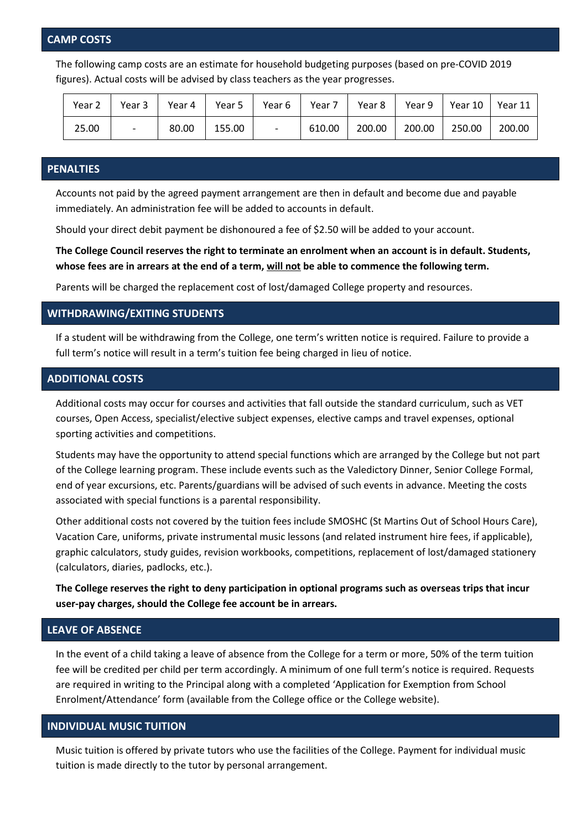#### **CAMP COSTS**

The following camp costs are an estimate for household budgeting purposes (based on pre-COVID 2019 figures). Actual costs will be advised by class teachers as the year progresses.

| Year $2 \mid$ |                          |       |        | Year 3   Year 4   Year 5   Year 6   Year 7 | Year 8 |        | Year 9   Year 10   Year 11 |        |
|---------------|--------------------------|-------|--------|--------------------------------------------|--------|--------|----------------------------|--------|
| 25.00         | $\overline{\phantom{0}}$ | 80.00 | 155.00 | 610.00                                     | 200.00 | 200.00 | 250.00                     | 200.00 |

### **PENALTIES**

Accounts not paid by the agreed payment arrangement are then in default and become due and payable immediately. An administration fee will be added to accounts in default.

Should your direct debit payment be dishonoured a fee of \$2.50 will be added to your account.

**The College Council reserves the right to terminate an enrolment when an account is in default. Students, whose fees are in arrears at the end of a term, will not be able to commence the following term.**

Parents will be charged the replacement cost of lost/damaged College property and resources.

#### **WITHDRAWING/EXITING STUDENTS**

If a student will be withdrawing from the College, one term's written notice is required. Failure to provide a full term's notice will result in a term's tuition fee being charged in lieu of notice.

### **ADDITIONAL COSTS**

Additional costs may occur for courses and activities that fall outside the standard curriculum, such as VET courses, Open Access, specialist/elective subject expenses, elective camps and travel expenses, optional sporting activities and competitions.

Students may have the opportunity to attend special functions which are arranged by the College but not part of the College learning program. These include events such as the Valedictory Dinner, Senior College Formal, end of year excursions, etc. Parents/guardians will be advised of such events in advance. Meeting the costs associated with special functions is a parental responsibility.

Other additional costs not covered by the tuition fees include SMOSHC (St Martins Out of School Hours Care), Vacation Care, uniforms, private instrumental music lessons (and related instrument hire fees, if applicable), graphic calculators, study guides, revision workbooks, competitions, replacement of lost/damaged stationery (calculators, diaries, padlocks, etc.).

**The College reserves the right to deny participation in optional programs such as overseas trips that incur user-pay charges, should the College fee account be in arrears.**

#### **LEAVE OF ABSENCE**

In the event of a child taking a leave of absence from the College for a term or more, 50% of the term tuition fee will be credited per child per term accordingly. A minimum of one full term's notice is required. Requests are required in writing to the Principal along with a completed 'Application for Exemption from School Enrolment/Attendance' form (available from the College office or the College website).

#### **INDIVIDUAL MUSIC TUITION**

Music tuition is offered by private tutors who use the facilities of the College. Payment for individual music tuition is made directly to the tutor by personal arrangement.